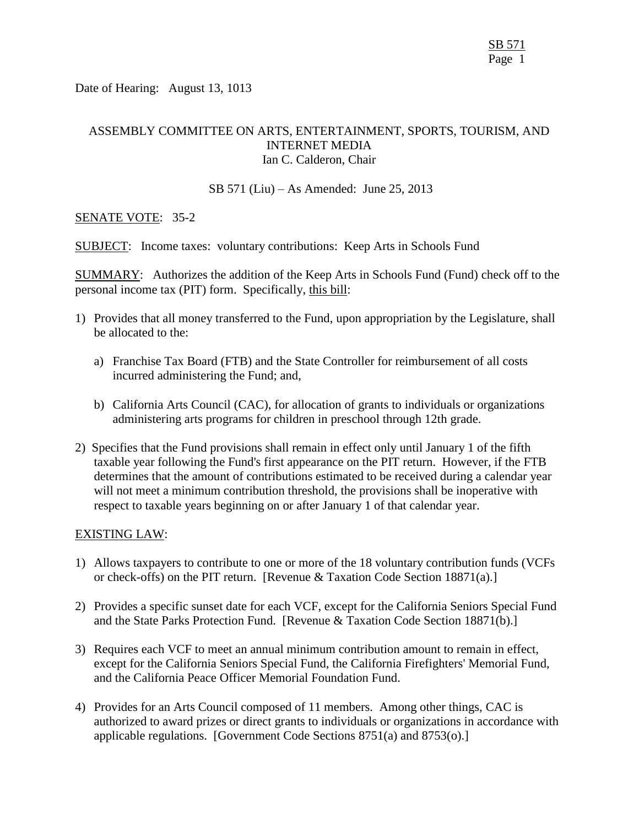Date of Hearing: August 13, 1013

## ASSEMBLY COMMITTEE ON ARTS, ENTERTAINMENT, SPORTS, TOURISM, AND INTERNET MEDIA Ian C. Calderon, Chair

#### SB 571 (Liu) – As Amended: June 25, 2013

## SENATE VOTE: 35-2

SUBJECT: Income taxes: voluntary contributions: Keep Arts in Schools Fund

SUMMARY: Authorizes the addition of the Keep Arts in Schools Fund (Fund) check off to the personal income tax (PIT) form. Specifically, this bill:

- 1) Provides that all money transferred to the Fund, upon appropriation by the Legislature, shall be allocated to the:
	- a) Franchise Tax Board (FTB) and the State Controller for reimbursement of all costs incurred administering the Fund; and,
	- b) California Arts Council (CAC), for allocation of grants to individuals or organizations administering arts programs for children in preschool through 12th grade.
- 2) Specifies that the Fund provisions shall remain in effect only until January 1 of the fifth taxable year following the Fund's first appearance on the PIT return. However, if the FTB determines that the amount of contributions estimated to be received during a calendar year will not meet a minimum contribution threshold, the provisions shall be inoperative with respect to taxable years beginning on or after January 1 of that calendar year.

## EXISTING LAW:

- 1) Allows taxpayers to contribute to one or more of the 18 voluntary contribution funds (VCFs or check-offs) on the PIT return. [Revenue & Taxation Code Section 18871(a).]
- 2) Provides a specific sunset date for each VCF, except for the California Seniors Special Fund and the State Parks Protection Fund. [Revenue & Taxation Code Section 18871(b).]
- 3) Requires each VCF to meet an annual minimum contribution amount to remain in effect, except for the California Seniors Special Fund, the California Firefighters' Memorial Fund, and the California Peace Officer Memorial Foundation Fund.
- 4) Provides for an Arts Council composed of 11 members. Among other things, CAC is authorized to award prizes or direct grants to individuals or organizations in accordance with applicable regulations. [Government Code Sections 8751(a) and 8753(o).]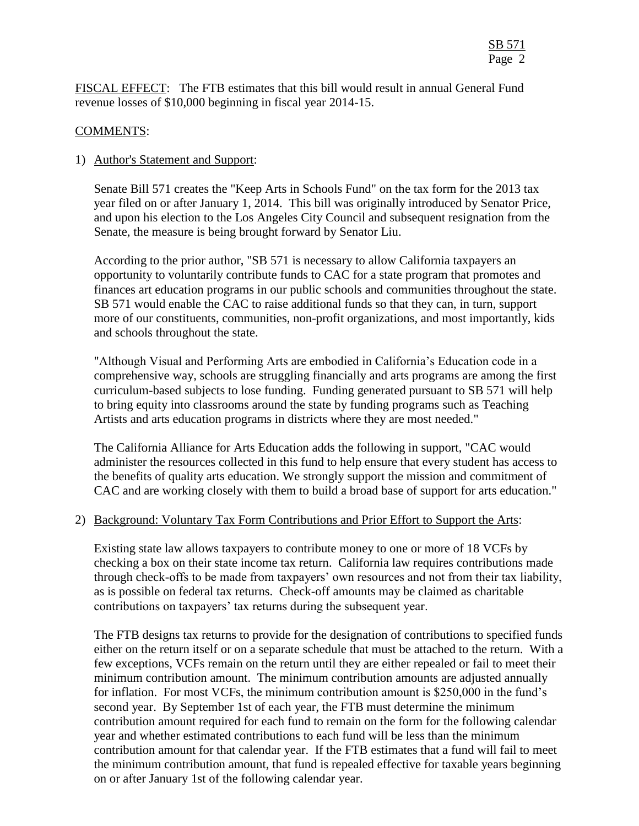FISCAL EFFECT: The FTB estimates that this bill would result in annual General Fund revenue losses of \$10,000 beginning in fiscal year 2014-15.

## COMMENTS:

## 1) Author's Statement and Support:

Senate Bill 571 creates the "Keep Arts in Schools Fund" on the tax form for the 2013 tax year filed on or after January 1, 2014. This bill was originally introduced by Senator Price, and upon his election to the Los Angeles City Council and subsequent resignation from the Senate, the measure is being brought forward by Senator Liu.

According to the prior author, "SB 571 is necessary to allow California taxpayers an opportunity to voluntarily contribute funds to CAC for a state program that promotes and finances art education programs in our public schools and communities throughout the state. SB 571 would enable the CAC to raise additional funds so that they can, in turn, support more of our constituents, communities, non-profit organizations, and most importantly, kids and schools throughout the state.

"Although Visual and Performing Arts are embodied in California's Education code in a comprehensive way, schools are struggling financially and arts programs are among the first curriculum-based subjects to lose funding. Funding generated pursuant to SB 571 will help to bring equity into classrooms around the state by funding programs such as Teaching Artists and arts education programs in districts where they are most needed."

The California Alliance for Arts Education adds the following in support, "CAC would administer the resources collected in this fund to help ensure that every student has access to the benefits of quality arts education. We strongly support the mission and commitment of CAC and are working closely with them to build a broad base of support for arts education."

## 2) Background: Voluntary Tax Form Contributions and Prior Effort to Support the Arts:

Existing state law allows taxpayers to contribute money to one or more of 18 VCFs by checking a box on their state income tax return. California law requires contributions made through check-offs to be made from taxpayers' own resources and not from their tax liability, as is possible on federal tax returns. Check-off amounts may be claimed as charitable contributions on taxpayers' tax returns during the subsequent year.

The FTB designs tax returns to provide for the designation of contributions to specified funds either on the return itself or on a separate schedule that must be attached to the return. With a few exceptions, VCFs remain on the return until they are either repealed or fail to meet their minimum contribution amount. The minimum contribution amounts are adjusted annually for inflation. For most VCFs, the minimum contribution amount is \$250,000 in the fund's second year. By September 1st of each year, the FTB must determine the minimum contribution amount required for each fund to remain on the form for the following calendar year and whether estimated contributions to each fund will be less than the minimum contribution amount for that calendar year. If the FTB estimates that a fund will fail to meet the minimum contribution amount, that fund is repealed effective for taxable years beginning on or after January 1st of the following calendar year.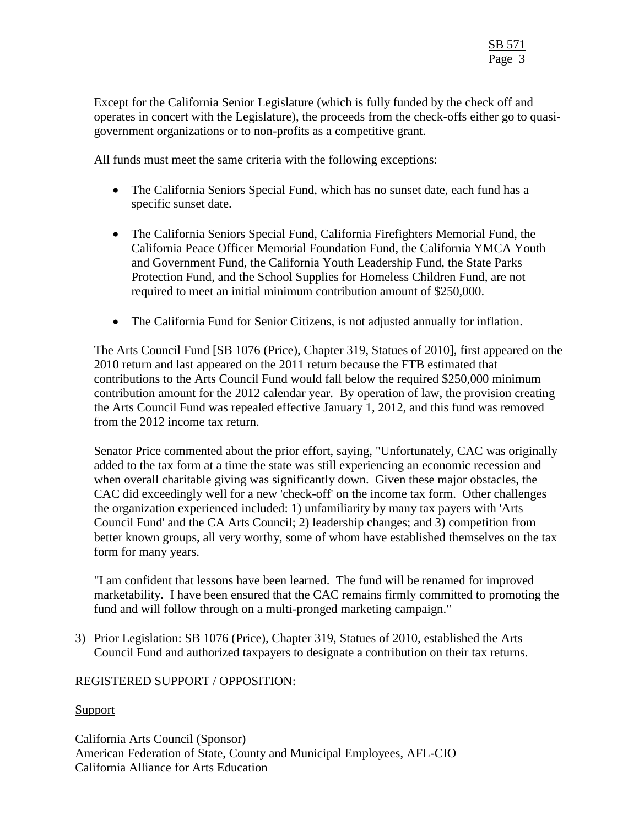Except for the California Senior Legislature (which is fully funded by the check off and operates in concert with the Legislature), the proceeds from the check-offs either go to quasigovernment organizations or to non-profits as a competitive grant.

All funds must meet the same criteria with the following exceptions:

- The California Seniors Special Fund, which has no sunset date, each fund has a specific sunset date.
- The California Seniors Special Fund, California Firefighters Memorial Fund, the California Peace Officer Memorial Foundation Fund, the California YMCA Youth and Government Fund, the California Youth Leadership Fund, the State Parks Protection Fund, and the School Supplies for Homeless Children Fund, are not required to meet an initial minimum contribution amount of \$250,000.
- The California Fund for Senior Citizens, is not adjusted annually for inflation.

The Arts Council Fund [SB 1076 (Price), Chapter 319, Statues of 2010], first appeared on the 2010 return and last appeared on the 2011 return because the FTB estimated that contributions to the Arts Council Fund would fall below the required \$250,000 minimum contribution amount for the 2012 calendar year. By operation of law, the provision creating the Arts Council Fund was repealed effective January 1, 2012, and this fund was removed from the 2012 income tax return.

Senator Price commented about the prior effort, saying, "Unfortunately, CAC was originally added to the tax form at a time the state was still experiencing an economic recession and when overall charitable giving was significantly down. Given these major obstacles, the CAC did exceedingly well for a new 'check-off' on the income tax form. Other challenges the organization experienced included: 1) unfamiliarity by many tax payers with 'Arts Council Fund' and the CA Arts Council; 2) leadership changes; and 3) competition from better known groups, all very worthy, some of whom have established themselves on the tax form for many years.

"I am confident that lessons have been learned. The fund will be renamed for improved marketability. I have been ensured that the CAC remains firmly committed to promoting the fund and will follow through on a multi-pronged marketing campaign."

3) Prior Legislation: SB 1076 (Price), Chapter 319, Statues of 2010, established the Arts Council Fund and authorized taxpayers to designate a contribution on their tax returns.

# REGISTERED SUPPORT / OPPOSITION:

## **Support**

California Arts Council (Sponsor) American Federation of State, County and Municipal Employees, AFL-CIO California Alliance for Arts Education